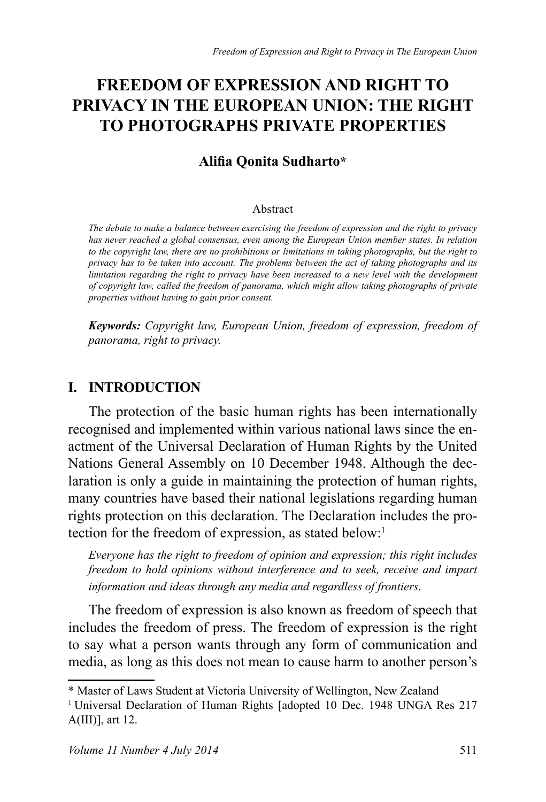# **FREEDOM OF EXPRESSION AND RIGHT TO PRIVACY IN THE EUROPEAN UNION: THE RIGHT 70 PHOTOGRAPHS PRIVATE PROPERTIES**

#### **Alifia Oonita Sudharto\***

#### Ahstract

*The debate to make a balance between exercising the freedom of expression and the right to privacy has never reached a global consensus, even among the European Union member states. In relation to the copyright law, there are no prohibitions or limitations in taking photographs, but the right to privacy has to be taken into account. The problems between the act of taking photographs and its limitation regarding the right to privacy have been increased to a new level with the development of copyright law, called the freedom of panorama, which might allow taking photographs of private properties without having to gain prior consent.*

*.H\ZRUGV Copyright law, European Union, freedom of expression, freedom of panorama, right to privacy.*

#### **I. INTRODUCTION**

The protection of the basic human rights has been internationally recognised and implemented within various national laws since the enactment of the Universal Declaration of Human Rights by the United Nations General Assembly on 10 December 1948. Although the declaration is only a guide in maintaining the protection of human rights, many countries have based their national legislations regarding human rights protection on this declaration. The Declaration includes the protection for the freedom of expression, as stated below:<sup>1</sup>

*Everyone has the right to freedom of opinion and expression; this right includes freedom to hold opinions without interference and to seek, receive and impart information and ideas through any media and regardless of frontiers.*

The freedom of expression is also known as freedom of speech that includes the freedom of press. The freedom of expression is the right to say what a person wants through any form of communication and media, as long as this does not mean to cause harm to another person's

<sup>\*</sup> Master of Laws Student at Victoria University of Wellington, New Zealand

<sup>&</sup>lt;sup>1</sup> Universal Declaration of Human Rights [adopted 10 Dec. 1948 UNGA Res 217  $A(III)$ ], art 12.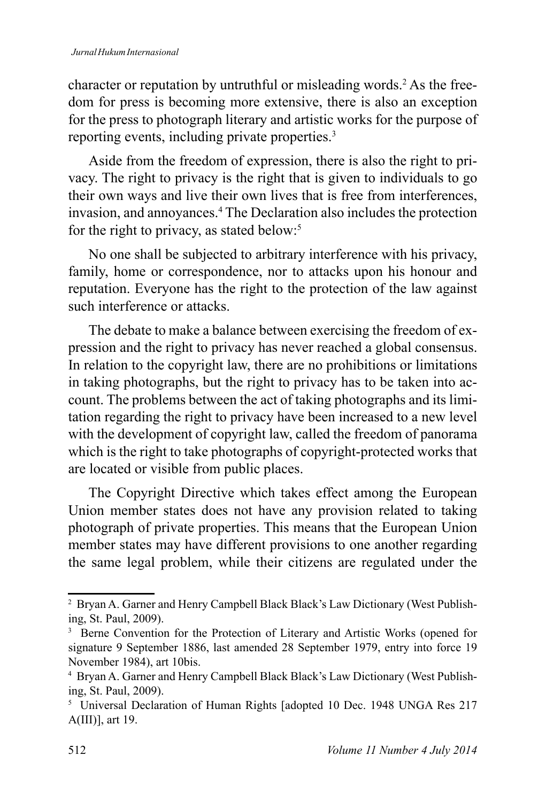character or reputation by untruthful or misleading words.<sup>2</sup> As the freedom for press is becoming more extensive, there is also an exception for the press to photograph literary and artistic works for the purpose of reporting events, including private properties.<sup>3</sup>

Aside from the freedom of expression, there is also the right to privacy. The right to privacy is the right that is given to individuals to go their own ways and live their own lives that is free from interferences. invasion, and annoyances.<sup>4</sup> The Declaration also includes the protection for the right to privacy, as stated below.<sup>5</sup>

No one shall be subjected to arbitrary interference with his privacy, family, home or correspondence, nor to attacks upon his honour and reputation. Everyone has the right to the protection of the law against such interference or attacks

The debate to make a balance between exercising the freedom of expression and the right to privacy has never reached a global consensus. In relation to the copyright law, there are no prohibitions or limitations in taking photographs, but the right to privacy has to be taken into account. The problems between the act of taking photographs and its limitation regarding the right to privacy have been increased to a new level with the development of copyright law, called the freedom of panorama which is the right to take photographs of copyright-protected works that are located or visible from public places.

The Copyright Directive which takes effect among the European Union member states does not have any provision related to taking photograph of private properties. This means that the European Union member states may have different provisions to one another regarding the same legal problem, while their citizens are regulated under the

<sup>&</sup>lt;sup>2</sup> Bryan A. Garner and Henry Campbell Black Black's Law Dictionary (West Publishing, St. Paul, 2009).

<sup>&</sup>lt;sup>3</sup> Berne Convention for the Protection of Literary and Artistic Works (opened for signature 9 September 1886, last amended 28 September 1979, entry into force 19 November 1984), art 10bis.

<sup>&</sup>lt;sup>4</sup> Bryan A. Garner and Henry Campbell Black Black's Law Dictionary (West Publishing, St. Paul, 2009).

<sup>&</sup>lt;sup>5</sup> Universal Declaration of Human Rights [adopted 10 Dec. 1948 UNGA Res 217  $A(III)$ ], art 19.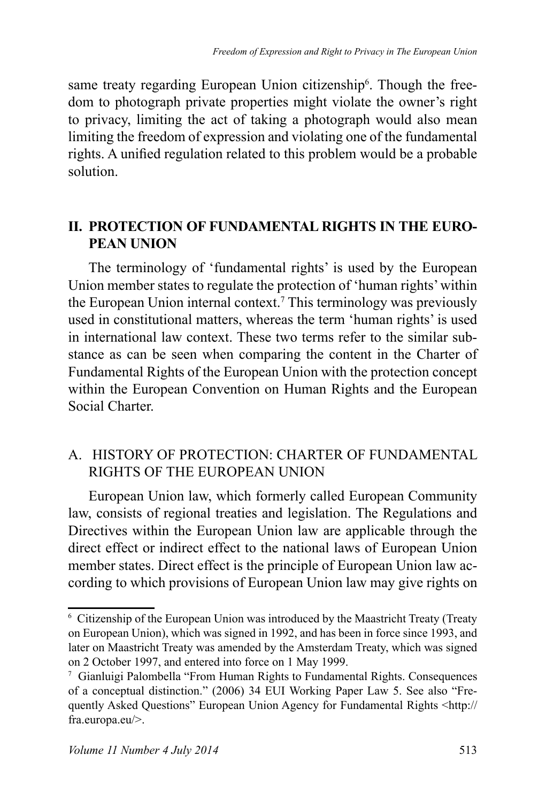same treaty regarding European Union citizenship<sup>6</sup>. Though the freedom to photograph private properties might violate the owner's right to privacy, limiting the act of taking a photograph would also mean limiting the freedom of expression and violating one of the fundamental rights. A unified regulation related to this problem would be a probable solution

## **IL PROTECTION OF FUNDAMENTAL RIGHTS IN THE EURO-PEAN UNION**

The terminology of 'fundamental rights' is used by the European Union member states to regulate the protection of 'human rights' within the European Union internal context.<sup>7</sup> This terminology was previously used in constitutional matters, whereas the term 'human rights' is used in international law context. These two terms refer to the similar substance as can be seen when comparing the content in the Charter of Fundamental Rights of the European Union with the protection concept within the European Convention on Human Rights and the European Social Charter

## A. HISTORY OF PROTECTION: CHARTER OF FUNDAMENTAL RIGHTS OF THE EUROPEAN UNION

European Union law, which formerly called European Community law, consists of regional treaties and legislation. The Regulations and Directives within the European Union law are applicable through the direct effect or indirect effect to the national laws of European Union member states. Direct effect is the principle of European Union law according to which provisions of European Union law may give rights on

<sup>&</sup>lt;sup>6</sup> Citizenship of the European Union was introduced by the Maastricht Treaty (Treaty on European Union), which was signed in 1992, and has been in force since 1993, and later on Maastricht Treaty was amended by the Amsterdam Treaty, which was signed on 2 October 1997, and entered into force on 1 May 1999.

<sup>&</sup>lt;sup>7</sup> Gianluigi Palombella "From Human Rights to Fundamental Rights. Consequences of a conceptual distinction." (2006) 34 EUI Working Paper Law 5. See also "Frequently Asked Questions" European Union Agency for Fundamental Rights <http:// fra.europa.eu/>.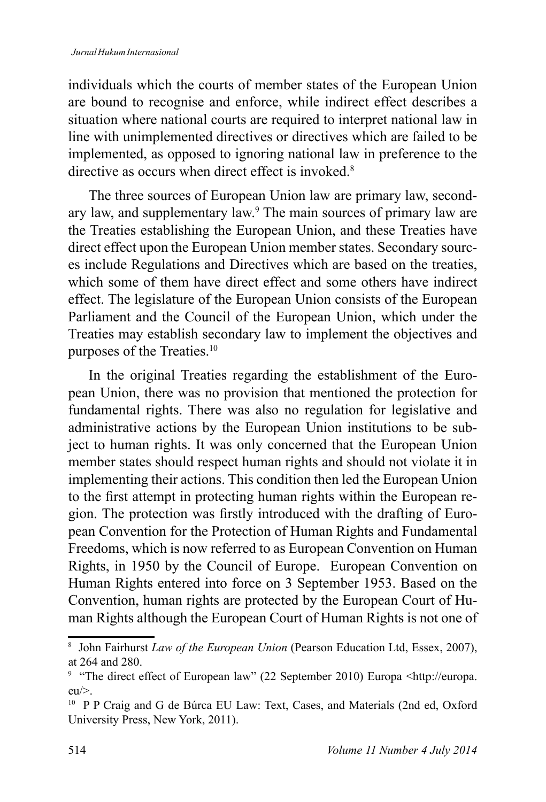individuals which the courts of member states of the European Union are bound to recognise and enforce, while indirect effect describes a situation where national courts are required to interpret national law in line with unimplemented directives or directives which are failed to be implemented, as opposed to ignoring national law in preference to the directive as occurs when direct effect is invoked <sup>8</sup>

The three sources of European Union law are primary law, secondary law, and supplementary law.<sup>9</sup> The main sources of primary law are the Treaties establishing the European Union, and these Treaties have direct effect upon the European Union member states. Secondary sources include Regulations and Directives which are based on the treaties. which some of them have direct effect and some others have indirect effect. The legislature of the European Union consists of the European Parliament and the Council of the European Union, which under the Treaties may establish secondary law to implement the objectives and purposes of the Treaties.<sup>10</sup>

In the original Treaties regarding the establishment of the European Union, there was no provision that mentioned the protection for fundamental rights. There was also no regulation for legislative and administrative actions by the European Union institutions to be subject to human rights. It was only concerned that the European Union member states should respect human rights and should not violate it in implementing their actions. This condition then led the European Union to the first attempt in protecting human rights within the European region. The protection was firstly introduced with the drafting of European Convention for the Protection of Human Rights and Fundamental Freedoms, which is now referred to as European Convention on Human Rights, in 1950 by the Council of Europe. European Convention on Human Rights entered into force on 3 September 1953. Based on the Convention, human rights are protected by the European Court of Human Rights although the European Court of Human Rights is not one of

<sup>&</sup>lt;sup>8</sup> John Fairhurst Law of the European Union (Pearson Education Ltd, Essex, 2007), at 264 and 280.

<sup>&</sup>lt;sup>9</sup> "The direct effect of European law" (22 September 2010) Europa <http://europa.  $e<sub>u</sub>$ 

<sup>&</sup>lt;sup>10</sup> P P Craig and G de Búrca EU Law: Text, Cases, and Materials (2nd ed, Oxford University Press, New York, 2011).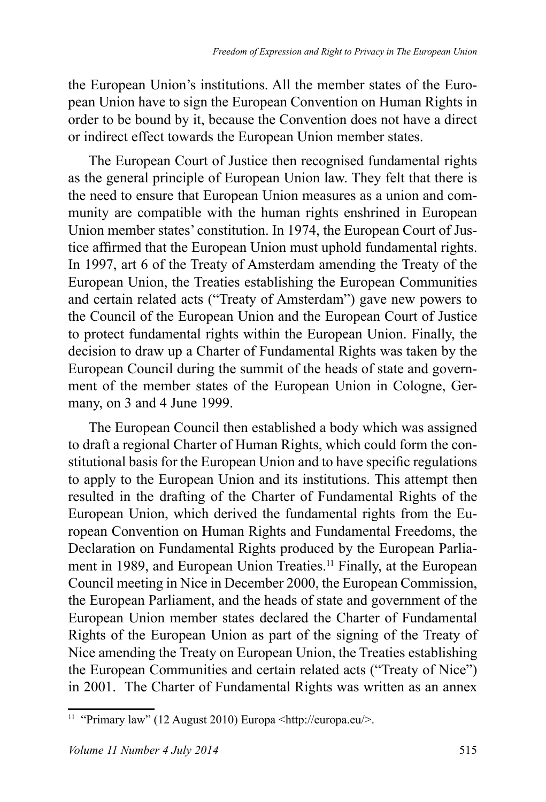the European Union's institutions. All the member states of the European Union have to sign the European Convention on Human Rights in order to be bound by it, because the Convention does not have a direct or indirect effect towards the European Union member states.

The European Court of Justice then recognised fundamental rights as the general principle of European Union law. They felt that there is the need to ensure that European Union measures as a union and community are compatible with the human rights enshrined in European Union member states' constitution. In 1974, the European Court of Justice affirmed that the European Union must uphold fundamental rights. In 1997, art 6 of the Treaty of Amsterdam amending the Treaty of the European Union, the Treaties establishing the European Communities and certain related acts ("Treaty of Amsterdam") gave new powers to the Council of the European Union and the European Court of Justice to protect fundamental rights within the European Union. Finally, the decision to draw up a Charter of Fundamental Rights was taken by the European Council during the summit of the heads of state and government of the member states of the European Union in Cologne, Germany, on 3 and 4 June 1999.

The European Council then established a body which was assigned to draft a regional Charter of Human Rights, which could form the constitutional basis for the European Union and to have specific regulations to apply to the European Union and its institutions. This attempt then resulted in the drafting of the Charter of Fundamental Rights of the European Union, which derived the fundamental rights from the European Convention on Human Rights and Fundamental Freedoms, the Declaration on Fundamental Rights produced by the European Parliament in 1989, and European Union Treaties.<sup>11</sup> Finally, at the European Council meeting in Nice in December 2000, the European Commission, the European Parliament, and the heads of state and government of the European Union member states declared the Charter of Fundamental Rights of the European Union as part of the signing of the Treaty of Nice amending the Treaty on European Union, the Treaties establishing the European Communities and certain related acts ("Treaty of Nice") in 2001. The Charter of Fundamental Rights was written as an annex

<sup>&</sup>lt;sup>11</sup> "Primary law" (12 August 2010) Europa <http://europa.eu/>.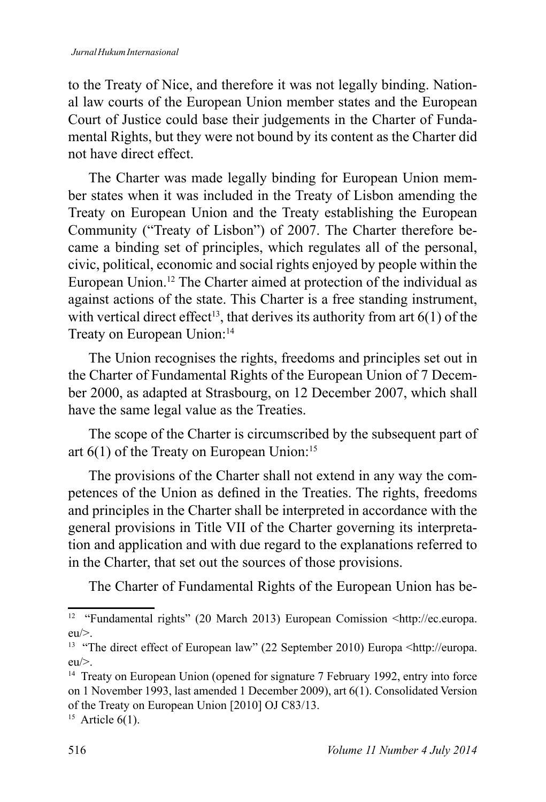to the Treaty of Nice, and therefore it was not legally binding. National law courts of the European Union member states and the European Court of Justice could base their judgements in the Charter of Fundamental Rights, but they were not bound by its content as the Charter did not have direct effect

The Charter was made legally binding for European Union member states when it was included in the Treaty of Lisbon amending the Treaty on European Union and the Treaty establishing the European Community ("Treaty of Lisbon") of 2007. The Charter therefore became a binding set of principles, which regulates all of the personal, civic, political, economic and social rights enjoyed by people within the European Union.<sup>12</sup> The Charter aimed at protection of the individual as against actions of the state. This Charter is a free standing instrument, with vertical direct effect<sup>13</sup>, that derives its authority from art  $6(1)$  of the Treaty on European Union:<sup>14</sup>

The Union recognises the rights, freedoms and principles set out in the Charter of Fundamental Rights of the European Union of 7 December 2000, as adapted at Strasbourg, on 12 December 2007, which shall have the same legal value as the Treaties.

The scope of the Charter is circumscribed by the subsequent part of art  $6(1)$  of the Treaty on European Union:<sup>15</sup>

The provisions of the Charter shall not extend in any way the competences of the Union as defined in the Treaties. The rights, freedoms and principles in the Charter shall be interpreted in accordance with the general provisions in Title VII of the Charter governing its interpretation and application and with due regard to the explanations referred to in the Charter, that set out the sources of those provisions.

The Charter of Fundamental Rights of the European Union has be-

<sup>&</sup>lt;sup>12</sup> "Fundamental rights" (20 March 2013) European Comission  $\lt$ http://ec.europa.  $eu \geq$ .

<sup>&</sup>lt;sup>13</sup> "The direct effect of European law" (22 September 2010) Europa <http://europa.  $eu \geq$ .

<sup>&</sup>lt;sup>14</sup> Treaty on European Union (opened for signature 7 February 1992, entry into force on 1 November 1993, last amended 1 December 2009), art 6(1). Consolidated Version of the Treaty on European Union [2010] OJ C83/13.

<sup>&</sup>lt;sup>15</sup> Article  $6(1)$ .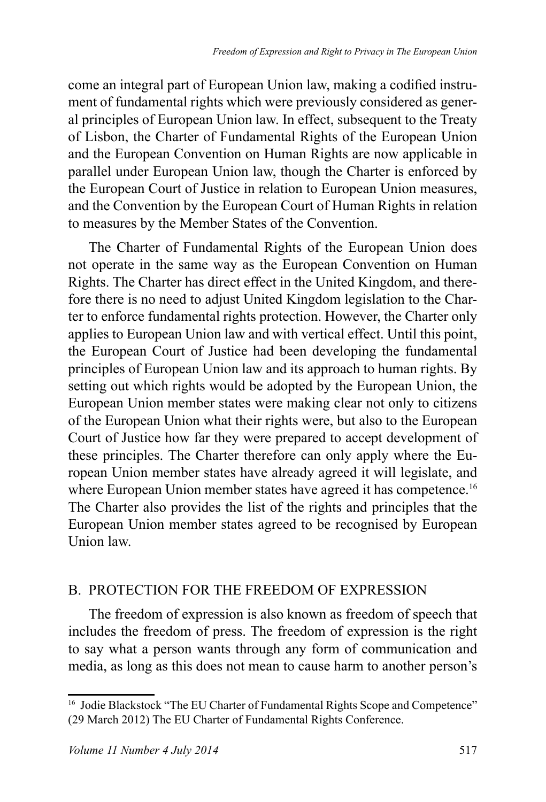come an integral part of European Union law, making a codified instrument of fundamental rights which were previously considered as general principles of European Union law. In effect, subsequent to the Treaty of Lisbon, the Charter of Fundamental Rights of the European Union and the European Convention on Human Rights are now applicable in parallel under European Union law, though the Charter is enforced by the European Court of Justice in relation to European Union measures, and the Convention by the European Court of Human Rights in relation to measures by the Member States of the Convention.

The Charter of Fundamental Rights of the European Union does not operate in the same way as the European Convention on Human Rights. The Charter has direct effect in the United Kingdom, and therefore there is no need to adjust United Kingdom legislation to the Charter to enforce fundamental rights protection. However, the Charter only applies to European Union law and with vertical effect. Until this point, the European Court of Justice had been developing the fundamental principles of European Union law and its approach to human rights. By setting out which rights would be adopted by the European Union, the European Union member states were making clear not only to citizens of the European Union what their rights were, but also to the European Court of Justice how far they were prepared to accept development of these principles. The Charter therefore can only apply where the European Union member states have already agreed it will legislate, and where European Union member states have agreed it has competence.<sup>16</sup> The Charter also provides the list of the rights and principles that the European Union member states agreed to be recognised by European Union law.

#### B. PROTECTION FOR THE FREEDOM OF EXPRESSION

The freedom of expression is also known as freedom of speech that includes the freedom of press. The freedom of expression is the right to say what a person wants through any form of communication and media, as long as this does not mean to cause harm to another person's

<sup>&</sup>lt;sup>16</sup> Jodie Blackstock "The EU Charter of Fundamental Rights Scope and Competence" (29 March 2012) The EU Charter of Fundamental Rights Conference.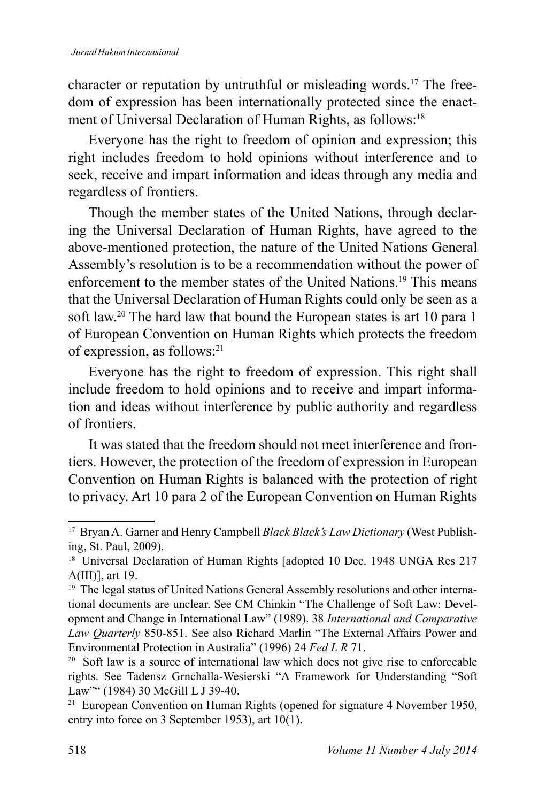character or reputation by untruthful or misleading words.<sup>17</sup> The freedom of expression has been internationally protected since the enactment of Universal Declaration of Human Rights, as follows:<sup>18</sup>

Everyone has the right to freedom of opinion and expression; this right includes freedom to hold opinions without interference and to seek, receive and impart information and ideas through any media and regardless of frontiers.

Though the member states of the United Nations, through declaring the Universal Declaration of Human Rights, have agreed to the above-mentioned protection, the nature of the United Nations General Assembly's resolution is to be a recommendation without the power of enforcement to the member states of the United Nations.<sup>19</sup> This means that the Universal Declaration of Human Rights could only be seen as a soft law.<sup>20</sup> The hard law that bound the European states is art 10 para 1 of European Convention on Human Rights which protects the freedom of expression, as follows:<sup>21</sup>

Everyone has the right to freedom of expression. This right shall include freedom to hold opinions and to receive and impart information and ideas without interference by public authority and regardless of frontiers

It was stated that the freedom should not meet interference and frontiers. However, the protection of the freedom of expression in European Convention on Human Rights is balanced with the protection of right to privacy. Art 10 para 2 of the European Convention on Human Rights

<sup>&</sup>lt;sup>17</sup> Bryan A. Garner and Henry Campbell Black Black's Law Dictionary (West Publishing, St. Paul, 2009).

<sup>&</sup>lt;sup>18</sup> Universal Declaration of Human Rights [adopted 10 Dec. 1948 UNGA Res 217  $A(III)$ ], art 19.

<sup>&</sup>lt;sup>19</sup> The legal status of United Nations General Assembly resolutions and other international documents are unclear. See CM Chinkin "The Challenge of Soft Law: Development and Change in International Law" (1989). 38 International and Comparative Law Quarterly 850-851. See also Richard Marlin "The External Affairs Power and Environmental Protection in Australia" (1996) 24 Fed L R 71.

<sup>&</sup>lt;sup>20</sup> Soft law is a source of international law which does not give rise to enforceable rights. See Tadensz Grnchalla-Wesierski "A Framework for Understanding "Soft Law"" (1984) 30 McGill L J 39-40.

<sup>&</sup>lt;sup>21</sup> European Convention on Human Rights (opened for signature 4 November 1950, entry into force on 3 September 1953), art  $10(1)$ .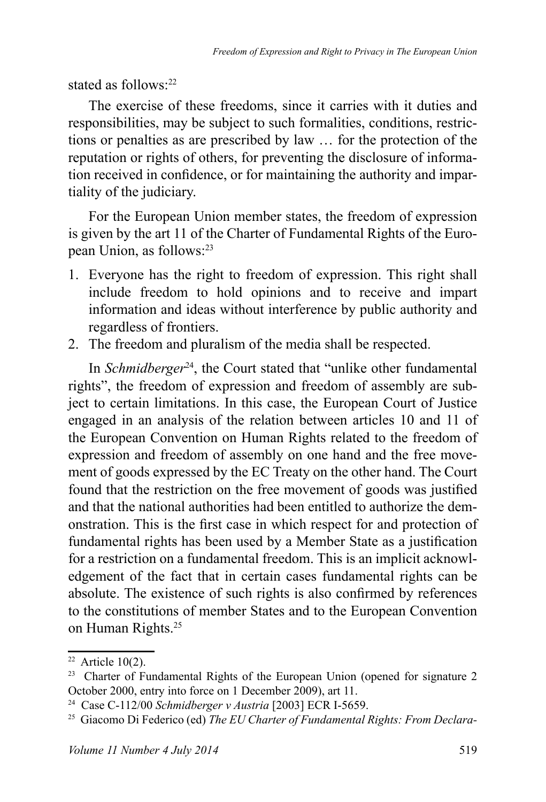stated as follows:<sup>22</sup>

The exercise of these freedoms, since it carries with it duties and responsibilities, may be subject to such formalities, conditions, restrictions or penalties as are prescribed by law ... for the protection of the reputation or rights of others, for preventing the disclosure of information received in confidence, or for maintaining the authority and impartiality of the judiciary.

For the European Union member states, the freedom of expression is given by the art 11 of the Charter of Fundamental Rights of the European Union, as follows:<sup>23</sup>

- 1. Everyone has the right to freedom of expression. This right shall include freedom to hold opinions and to receive and impart information and ideas without interference by public authority and regardless of frontiers.
- 2. The freedom and pluralism of the media shall be respected.

In *Schmidberger*<sup>24</sup>, the Court stated that "unlike other fundamental rights", the freedom of expression and freedom of assembly are subject to certain limitations. In this case, the European Court of Justice engaged in an analysis of the relation between articles 10 and 11 of the European Convention on Human Rights related to the freedom of expression and freedom of assembly on one hand and the free movement of goods expressed by the EC Treaty on the other hand. The Court found that the restriction on the free movement of goods was justified and that the national authorities had been entitled to authorize the demonstration. This is the first case in which respect for and protection of fundamental rights has been used by a Member State as a justification for a restriction on a fundamental freedom. This is an implicit acknowledgement of the fact that in certain cases fundamental rights can be absolute. The existence of such rights is also confirmed by references to the constitutions of member States and to the European Convention on Human Rights.<sup>25</sup>

 $22$  Article 10(2).

<sup>&</sup>lt;sup>23</sup> Charter of Fundamental Rights of the European Union (opened for signature 2 October 2000, entry into force on 1 December 2009), art 11.

<sup>&</sup>lt;sup>24</sup> Case C-112/00 Schmidberger v Austria [2003] ECR I-5659.

<sup>&</sup>lt;sup>25</sup> Giacomo Di Federico (ed) The EU Charter of Fundamental Rights: From Declara-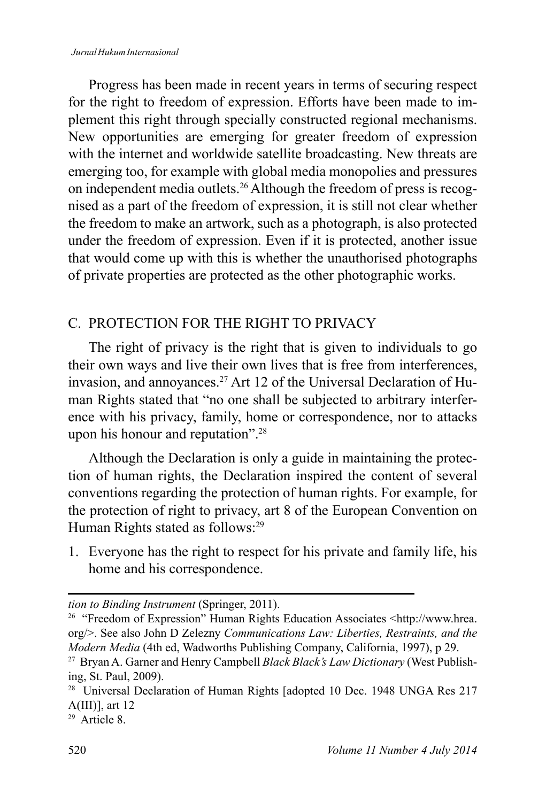#### Jurnal Hukum Internasional

Progress has been made in recent years in terms of securing respect for the right to freedom of expression. Efforts have been made to implement this right through specially constructed regional mechanisms. New opportunities are emerging for greater freedom of expression with the internet and worldwide satellite broadcasting. New threats are emerging too, for example with global media monopolies and pressures on independent media outlets.<sup>26</sup> Although the freedom of press is recognised as a part of the freedom of expression, it is still not clear whether the freedom to make an artwork, such as a photograph, is also protected under the freedom of expression. Even if it is protected, another issue that would come up with this is whether the unauthorised photographs of private properties are protected as the other photographic works.

#### C. PROTECTION FOR THE RIGHT TO PRIVACY

The right of privacy is the right that is given to individuals to go their own ways and live their own lives that is free from interferences. invasion, and annoyances.<sup>27</sup> Art 12 of the Universal Declaration of Human Rights stated that "no one shall be subjected to arbitrary interference with his privacy, family, home or correspondence, nor to attacks upon his honour and reputation".<sup>28</sup>

Although the Declaration is only a guide in maintaining the protection of human rights, the Declaration inspired the content of several conventions regarding the protection of human rights. For example, for the protection of right to privacy, art 8 of the European Convention on Human Rights stated as follows:<sup>29</sup>

1. Everyone has the right to respect for his private and family life, his home and his correspondence.

tion to Binding Instrument (Springer, 2011).

<sup>&</sup>lt;sup>26</sup> "Freedom of Expression" Human Rights Education Associates <http://www.hrea. org/>. See also John D Zelezny Communications Law: Liberties, Restraints, and the Modern Media (4th ed, Wadworths Publishing Company, California, 1997), p 29.

<sup>&</sup>lt;sup>27</sup> Bryan A. Garner and Henry Campbell Black Black's Law Dictionary (West Publishing, St. Paul, 2009).

<sup>&</sup>lt;sup>28</sup> Universal Declaration of Human Rights [adopted 10 Dec. 1948 UNGA Res 217  $A(III)$ ], art 12

 $29$  Article 8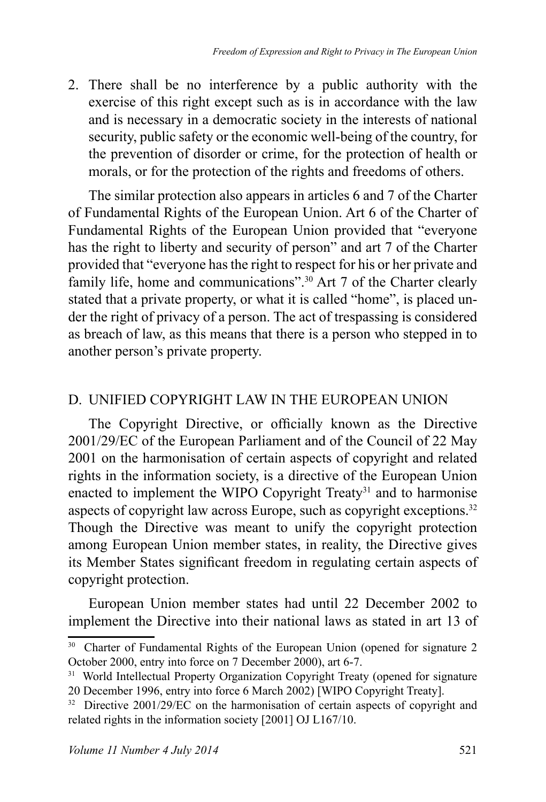2. There shall be no interference by a public authority with the exercise of this right except such as is in accordance with the law and is necessary in a democratic society in the interests of national security, public safety or the economic well-being of the country, for the prevention of disorder or crime, for the protection of health or morals, or for the protection of the rights and freedoms of others.

The similar protection also appears in articles 6 and 7 of the Charter of Fundamental Rights of the European Union. Art 6 of the Charter of Fundamental Rights of the European Union provided that "everyone" has the right to liberty and security of person" and art 7 of the Charter provided that "everyone has the right to respect for his or her private and family life, home and communications".<sup>30</sup> Art 7 of the Charter clearly stated that a private property, or what it is called "home", is placed under the right of privacy of a person. The act of trespassing is considered as breach of law, as this means that there is a person who stepped in to another person's private property.

## D. UNIFIED COPYRIGHT LAW IN THE EUROPEAN UNION

The Copyright Directive, or officially known as the Directive 2001/29/EC of the European Parliament and of the Council of 22 May 2001 on the harmonisation of certain aspects of copyright and related rights in the information society, is a directive of the European Union enacted to implement the WIPO Copyright Treaty<sup>31</sup> and to harmonise aspects of copyright law across Europe, such as copyright exceptions.<sup>32</sup> Though the Directive was meant to unify the copyright protection among European Union member states, in reality, the Directive gives its Member States significant freedom in regulating certain aspects of copyright protection.

European Union member states had until 22 December 2002 to implement the Directive into their national laws as stated in art 13 of

<sup>&</sup>lt;sup>30</sup> Charter of Fundamental Rights of the European Union (opened for signature 2 October 2000, entry into force on 7 December 2000), art 6-7.

<sup>&</sup>lt;sup>31</sup> World Intellectual Property Organization Copyright Treaty (opened for signature 20 December 1996, entry into force 6 March 2002) [WIPO Copyright Treaty].

<sup>&</sup>lt;sup>32</sup> Directive 2001/29/EC on the harmonisation of certain aspects of copyright and related rights in the information society  $[2001]$  OJ L167/10.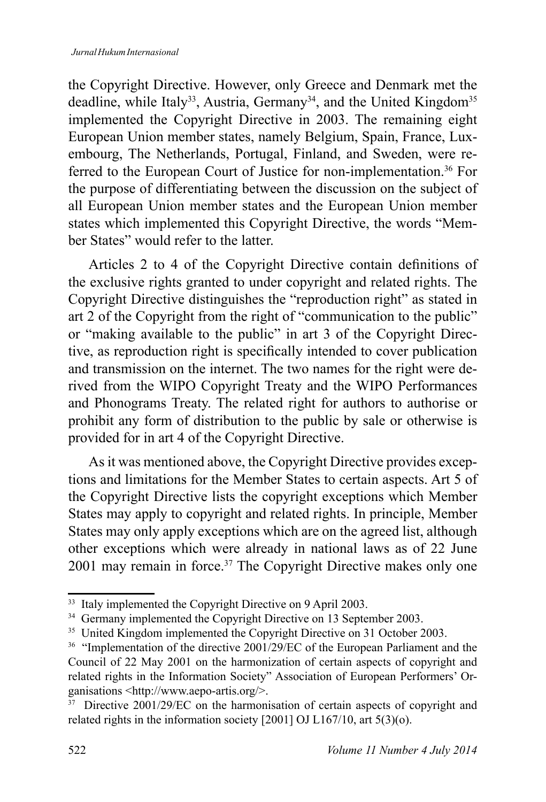the Copyright Directive. However, only Greece and Denmark met the deadline, while Italy<sup>33</sup>, Austria, Germany<sup>34</sup>, and the United Kingdom<sup>35</sup> implemented the Copyright Directive in 2003. The remaining eight European Union member states, namely Belgium, Spain, France, Luxembourg, The Netherlands, Portugal, Finland, and Sweden, were referred to the European Court of Justice for non-implementation.<sup>36</sup> For the purpose of differentiating between the discussion on the subject of all European Union member states and the European Union member states which implemented this Copyright Directive, the words "Member States" would refer to the latter.

Articles 2 to 4 of the Copyright Directive contain definitions of the exclusive rights granted to under copyright and related rights. The Copyright Directive distinguishes the "reproduction right" as stated in art 2 of the Copyright from the right of "communication to the public" or "making available to the public" in art 3 of the Copyright Directive, as reproduction right is specifically intended to cover publication and transmission on the internet. The two names for the right were derived from the WIPO Copyright Treaty and the WIPO Performances and Phonograms Treaty. The related right for authors to authorise or prohibit any form of distribution to the public by sale or otherwise is provided for in art 4 of the Copyright Directive.

As it was mentioned above, the Copyright Directive provides exceptions and limitations for the Member States to certain aspects. Art 5 of the Copyright Directive lists the copyright exceptions which Member States may apply to copyright and related rights. In principle, Member States may only apply exceptions which are on the agreed list, although other exceptions which were already in national laws as of 22 June 2001 may remain in force.<sup>37</sup> The Copyright Directive makes only one

<sup>&</sup>lt;sup>33</sup> Italy implemented the Copyright Directive on 9 April 2003.

<sup>&</sup>lt;sup>34</sup> Germany implemented the Copyright Directive on 13 September 2003.

<sup>&</sup>lt;sup>35</sup> United Kingdom implemented the Copyright Directive on 31 October 2003.

<sup>&</sup>lt;sup>36</sup> "Implementation of the directive 2001/29/EC of the European Parliament and the Council of 22 May 2001 on the harmonization of certain aspects of copyright and related rights in the Information Society" Association of European Performers' Organisations <http://www.aepo-artis.org/>.

 $37$  Directive 2001/29/EC on the harmonisation of certain aspects of copyright and related rights in the information society [2001] OJ L167/10, art  $5(3)(o)$ .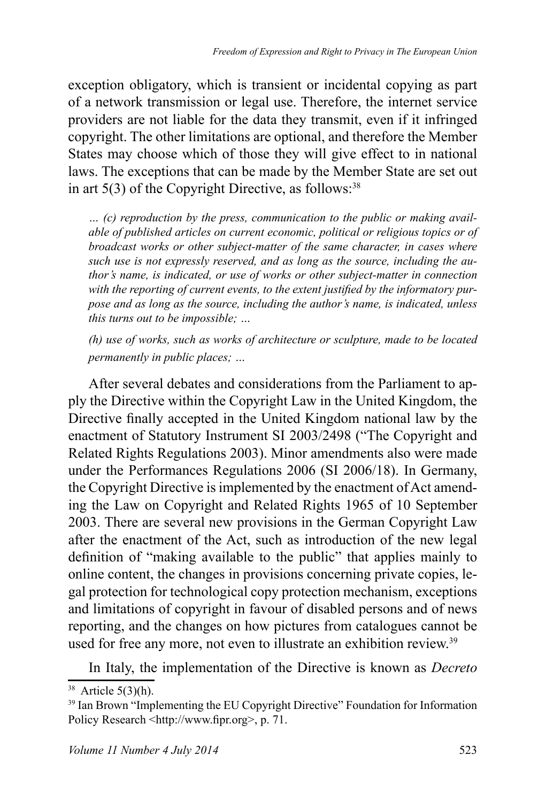exception obligatory, which is transient or incidental copying as part of a network transmission or legal use. Therefore, the internet service providers are not liable for the data they transmit, even if it infringed copyright. The other limitations are optional, and therefore the Member States may choose which of those they will give effect to in national laws. The exceptions that can be made by the Member State are set out in art  $5(3)$  of the Copyright Directive, as follows:<sup>38</sup>

*… (c) reproduction by the press, communication to the public or making available of published articles on current economic, political or religious topics or of broadcast works or other subject-matter of the same character, in cases where such use is not expressly reserved, and as long as the source, including the author's name, is indicated, or use of works or other subject-matter in connection with the reporting of current events, to the extent justified by the informatory purpose and as long as the source, including the author's name, is indicated, unless this turns out to be impossible; …*

*(h) use of works, such as works of architecture or sculpture, made to be located permanently in public places; …*

After several debates and considerations from the Parliament to apply the Directive within the Copyright Law in the United Kingdom, the Directive finally accepted in the United Kingdom national law by the enactment of Statutory Instrument SI 2003/2498 ("The Copyright and Related Rights Regulations 2003). Minor amendments also were made under the Performances Regulations  $2006$  (SI  $2006/18$ ). In Germany, the Copyright Directive is implemented by the enactment of Act amending the Law on Copyright and Related Rights 1965 of 10 September 2003. There are several new provisions in the German Copyright Law after the enactment of the Act, such as introduction of the new legal definition of "making available to the public" that applies mainly to online content, the changes in provisions concerning private copies, legal protection for technological copy protection mechanism, exceptions and limitations of copyright in favour of disabled persons and of news reporting, and the changes on how pictures from catalogues cannot be used for free any more, not even to illustrate an exhibition review.<sup>39</sup>

In Italy, the implementation of the Directive is known as *Decreto* 

 $38$  Article 5(3)(h).

<sup>&</sup>lt;sup>39</sup> Ian Brown "Implementing the EU Copyright Directive" Foundation for Information Policy Research  $\text{thttp://www.fipr.org>}, p. 71$ .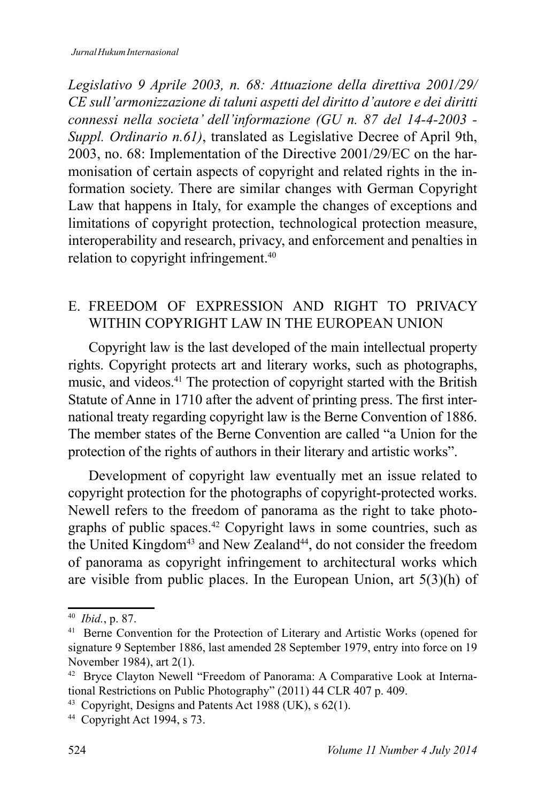*Legislativo 9 Aprile 2003, n. 68: Attuazione della direttiva 2001/29/ CE sull'armonizzazione di taluni aspetti del diritto d'autore e dei diritti connessi nella societa' dell'informazione (GU n. 87 del 14-4-2003 - Suppl. Ordinario n.61*), translated as Legislative Decree of April 9th, 2003, no. 68: Implementation of the Directive 2001/29/EC on the harmonisation of certain aspects of copyright and related rights in the information society. There are similar changes with German Copyright Law that happens in Italy, for example the changes of exceptions and limitations of copyright protection, technological protection measure, interoperability and research, privacy, and enforcement and penalties in relation to copyright infringement. $40$ 

### E. FREEDOM OF EXPRESSION AND RIGHT TO PRIVACY WITHIN COPYRIGHT LAW IN THE EUROPEAN UNION

Copyright law is the last developed of the main intellectual property rights. Copyright protects art and literary works, such as photographs, music, and videos.<sup>41</sup> The protection of copyright started with the British Statute of Anne in 1710 after the advent of printing press. The first international treaty regarding copyright law is the Berne Convention of 1886. The member states of the Berne Convention are called "a Union for the protection of the rights of authors in their literary and artistic works".

Development of copyright law eventually met an issue related to copyright protection for the photographs of copyright-protected works. Newell refers to the freedom of panorama as the right to take photographs of public spaces.<sup>42</sup> Copyright laws in some countries, such as the United Kingdom<sup>43</sup> and New Zealand<sup>44</sup>, do not consider the freedom of panorama as copyright infringement to architectural works which are visible from public places. In the European Union, art  $5(3)(h)$  of

<sup>&</sup>lt;sup>40</sup> *Ibid.*, p. 87.

<sup>&</sup>lt;sup>41</sup> Berne Convention for the Protection of Literary and Artistic Works (opened for signature 9 September 1886, last amended 28 September 1979, entry into force on 19 November 1984), art  $2(1)$ .

<sup>&</sup>lt;sup>42</sup> Bryce Clayton Newell "Freedom of Panorama: A Comparative Look at International Restrictions on Public Photography"  $(2011)$  44 CLR 407 p. 409.

<sup>&</sup>lt;sup>43</sup> Copyright, Designs and Patents Act 1988 (UK), s  $62(1)$ .

<sup>&</sup>lt;sup>44</sup> Copyright Act 1994, s  $73$ .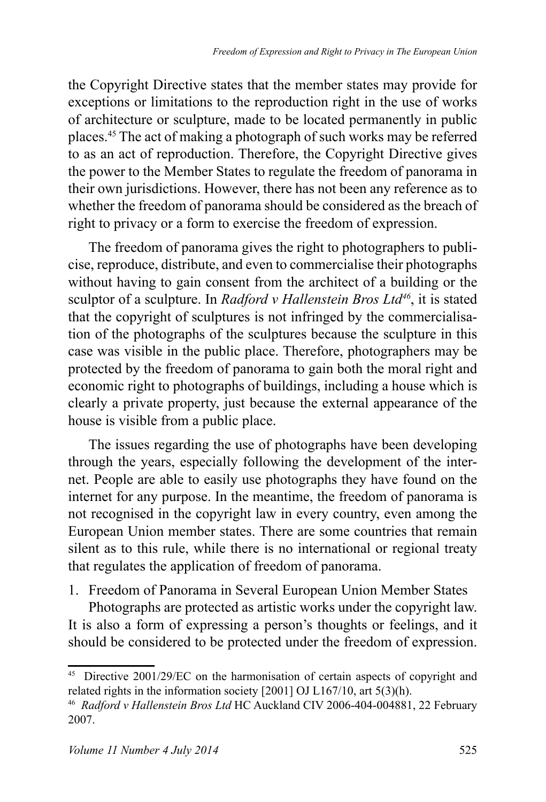the Copyright Directive states that the member states may provide for exceptions or limitations to the reproduction right in the use of works of architecture or sculpture, made to be located permanently in public places.<sup>45</sup> The act of making a photograph of such works may be referred to as an act of reproduction. Therefore, the Copyright Directive gives the power to the Member States to regulate the freedom of panorama in their own jurisdictions. However, there has not been any reference as to whether the freedom of panorama should be considered as the breach of right to privacy or a form to exercise the freedom of expression.

The freedom of panorama gives the right to photographers to publicise, reproduce, distribute, and even to commercialise their photographs without having to gain consent from the architect of a building or the sculptor of a sculpture. In Radford v Hallenstein Bros Ltd<sup>46</sup>, it is stated that the copyright of sculptures is not infringed by the commercialisation of the photographs of the sculptures because the sculpture in this case was visible in the public place. Therefore, photographers may be protected by the freedom of panorama to gain both the moral right and economic right to photographs of buildings, including a house which is clearly a private property, just because the external appearance of the house is visible from a public place.

The issues regarding the use of photographs have been developing through the years, especially following the development of the internet. People are able to easily use photographs they have found on the internet for any purpose. In the meantime, the freedom of panorama is not recognised in the copyright law in every country, even among the European Union member states. There are some countries that remain silent as to this rule, while there is no international or regional treaty that regulates the application of freedom of panorama.

1. Freedom of Panorama in Several European Union Member States

Photographs are protected as artistic works under the copyright law. It is also a form of expressing a person's thoughts or feelings, and it should be considered to be protected under the freedom of expression.

<sup>&</sup>lt;sup>45</sup> Directive 2001/29/EC on the harmonisation of certain aspects of copyright and related rights in the information society  $[2001]$  OJ L167/10, art 5(3)(h).

<sup>&</sup>lt;sup>46</sup> Radford v Hallenstein Bros Ltd HC Auckland CIV 2006-404-004881, 22 February 2007.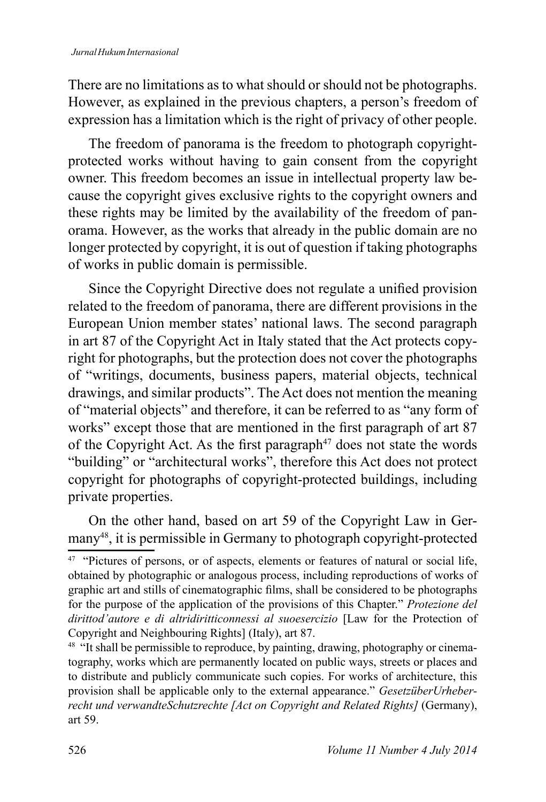There are no limitations as to what should or should not be photographs. However, as explained in the previous chapters, a person's freedom of expression has a limitation which is the right of privacy of other people.

The freedom of panorama is the freedom to photograph copyrightprotected works without having to gain consent from the copyright owner. This freedom becomes an issue in intellectual property law because the copyright gives exclusive rights to the copyright owners and these rights may be limited by the availability of the freedom of panorama. However, as the works that already in the public domain are no longer protected by copyright, it is out of question if taking photographs of works in public domain is permissible.

Since the Copyright Directive does not regulate a unified provision related to the freedom of panorama, there are different provisions in the European Union member states' national laws. The second paragraph in art 87 of the Copyright Act in Italy stated that the Act protects copyright for photographs, but the protection does not cover the photographs of "writings, documents, business papers, material objects, technical drawings, and similar products". The Act does not mention the meaning of "material objects" and therefore, it can be referred to as "any form of works" except those that are mentioned in the first paragraph of art 87 of the Copyright Act. As the first paragraph<sup>47</sup> does not state the words "building" or "architectural works", therefore this Act does not protect copyright for photographs of copyright-protected buildings, including private properties.

On the other hand, based on art 59 of the Copyright Law in Germany<sup>48</sup>, it is permissible in Germany to photograph copyright-protected

<sup>&</sup>lt;sup>47</sup> "Pictures of persons, or of aspects, elements or features of natural or social life, obtained by photographic or analogous process, including reproductions of works of graphic art and stills of cinematographic films, shall be considered to be photographs for the purpose of the application of the provisions of this Chapter." Protezione del dirittod'autore e di altridiritticonnessi al suoesercizio [Law for the Protection of Copyright and Neighbouring Rights] (Italy), art 87.

<sup>&</sup>lt;sup>48</sup> "It shall be permissible to reproduce, by painting, drawing, photography or cinematography, works which are permanently located on public ways, streets or places and to distribute and publicly communicate such copies. For works of architecture, this provision shall be applicable only to the external appearance." GesetzüberUrheberrecht und verwandteSchutzrechte [Act on Copyright and Related Rights] (Germany), art 59.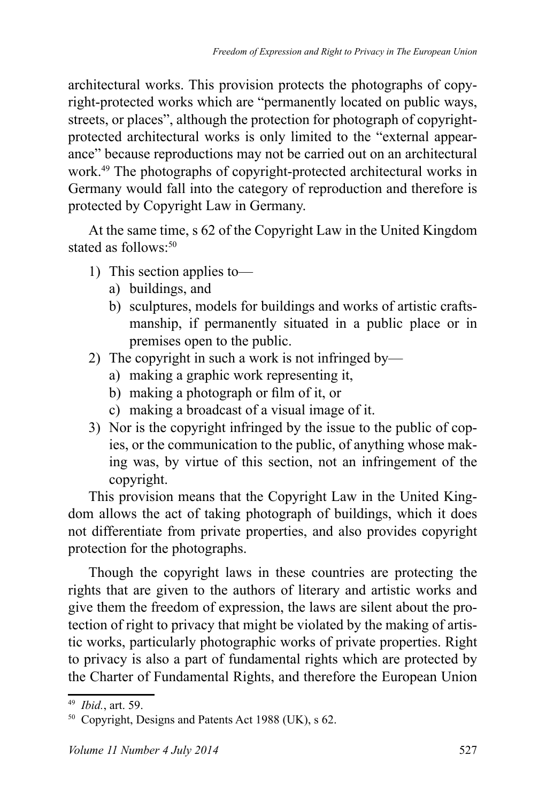architectural works. This provision protects the photographs of copyright-protected works which are "permanently located on public ways, streets, or places", although the protection for photograph of copyrightprotected architectural works is only limited to the "external appearance" because reproductions may not be carried out on an architectural work.<sup>49</sup> The photographs of copyright-protected architectural works in Germany would fall into the category of reproduction and therefore is protected by Copyright Law in Germany.

At the same time, s 62 of the Copyright Law in the United Kingdom stated as follows<sup>-50</sup>

- 1) This section applies to  $$ 
	- a) buildings, and
	- b) sculptures, models for buildings and works of artistic craftsmanship, if permanently situated in a public place or in premises open to the public.
- 2) The copyright in such a work is not infringed by
	- a) making a graphic work representing it,
	- b) making a photograph or film of it, or
	- c) making a broadcast of a visual image of it.
- 3) Nor is the copyright infringed by the issue to the public of copies, or the communication to the public, of anything whose making was, by virtue of this section, not an infringement of the copyright.

This provision means that the Copyright Law in the United Kingdom allows the act of taking photograph of buildings, which it does not differentiate from private properties, and also provides copyright protection for the photographs.

Though the copyright laws in these countries are protecting the rights that are given to the authors of literary and artistic works and give them the freedom of expression, the laws are silent about the protection of right to privacy that might be violated by the making of artistic works, particularly photographic works of private properties. Right to privacy is also a part of fundamental rights which are protected by the Charter of Fundamental Rights, and therefore the European Union

<sup>&</sup>lt;sup>49</sup> *Ibid.*, art. 59.

 $50$  Copyright, Designs and Patents Act 1988 (UK), s 62.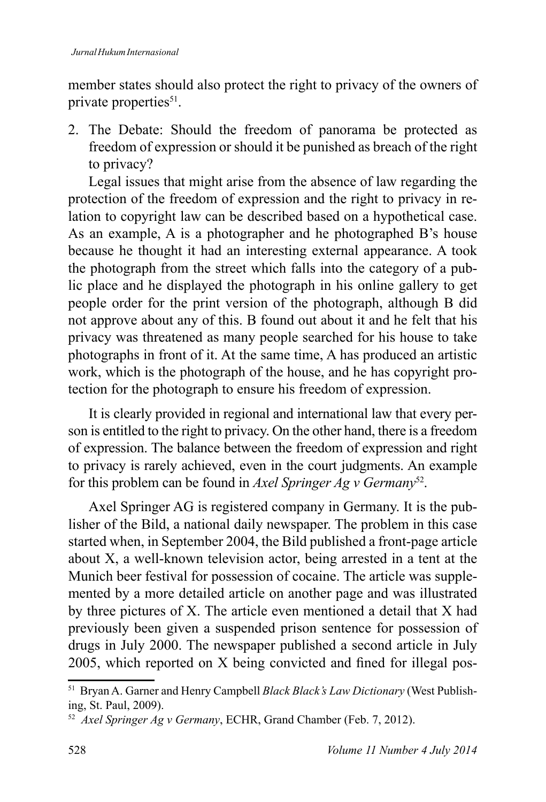member states should also protect the right to privacy of the owners of private properties<sup>51</sup>.

2. The Debate: Should the freedom of panorama be protected as freedom of expression or should it be punished as breach of the right to privacy?

Legal issues that might arise from the absence of law regarding the protection of the freedom of expression and the right to privacy in relation to copyright law can be described based on a hypothetical case. As an example, A is a photographer and he photographed B's house because he thought it had an interesting external appearance. A took the photograph from the street which falls into the category of a public place and he displayed the photograph in his online gallery to get people order for the print version of the photograph, although B did not approve about any of this. B found out about it and he felt that his privacy was threatened as many people searched for his house to take photographs in front of it. At the same time, A has produced an artistic work, which is the photograph of the house, and he has copyright protection for the photograph to ensure his freedom of expression.

It is clearly provided in regional and international law that every person is entitled to the right to privacy. On the other hand, there is a freedom of expression. The balance between the freedom of expression and right to privacy is rarely achieved, even in the court judgments. An example for this problem can be found in Axel Springer Ag v Germany<sup>52</sup>.

Axel Springer AG is registered company in Germany. It is the publisher of the Bild, a national daily newspaper. The problem in this case started when, in September 2004, the Bild published a front-page article about X, a well-known television actor, being arrested in a tent at the Munich beer festival for possession of cocaine. The article was supplemented by a more detailed article on another page and was illustrated by three pictures of X. The article even mentioned a detail that X had previously been given a suspended prison sentence for possession of drugs in July 2000. The newspaper published a second article in July 2005, which reported on X being convicted and fined for illegal pos-

<sup>&</sup>lt;sup>51</sup> Bryan A. Garner and Henry Campbell Black Black's Law Dictionary (West Publishing, St. Paul, 2009).

<sup>&</sup>lt;sup>52</sup> Axel Springer Ag v Germany, ECHR, Grand Chamber (Feb. 7, 2012).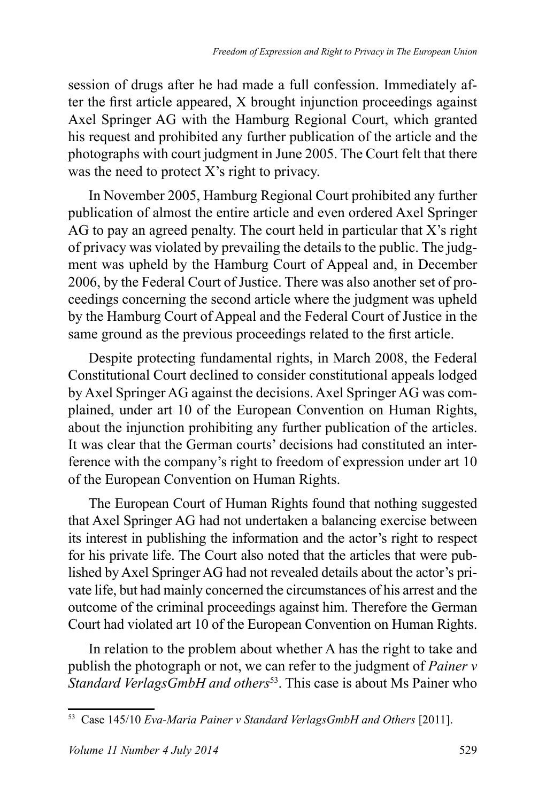session of drugs after he had made a full confession. Immediately after the first article appeared,  $X$  brought injunction proceedings against Axel Springer AG with the Hamburg Regional Court, which granted his request and prohibited any further publication of the article and the photographs with court judgment in June 2005. The Court felt that there was the need to protect  $X$ 's right to privacy.

In November 2005, Hamburg Regional Court prohibited any further publication of almost the entire article and even ordered Axel Springer AG to pay an agreed penalty. The court held in particular that  $X$ 's right of privacy was violated by prevailing the details to the public. The judgment was upheld by the Hamburg Court of Appeal and, in December 2006, by the Federal Court of Justice. There was also another set of proceedings concerning the second article where the judgment was upheld by the Hamburg Court of Appeal and the Federal Court of Justice in the same ground as the previous proceedings related to the first article.

Despite protecting fundamental rights, in March 2008, the Federal Constitutional Court declined to consider constitutional appeals lodged by Axel Springer AG against the decisions. Axel Springer AG was complained, under art 10 of the European Convention on Human Rights, about the injunction prohibiting any further publication of the articles. It was clear that the German courts' decisions had constituted an interference with the company's right to freedom of expression under art 10 of the European Convention on Human Rights.

The European Court of Human Rights found that nothing suggested that Axel Springer AG had not undertaken a balancing exercise between its interest in publishing the information and the actor's right to respect for his private life. The Court also noted that the articles that were published by Axel Springer AG had not revealed details about the actor's private life, but had mainly concerned the circumstances of his arrest and the outcome of the criminal proceedings against him. Therefore the German Court had violated art 10 of the European Convention on Human Rights.

In relation to the problem about whether A has the right to take and publish the photograph or not, we can refer to the judgment of *Painer v Standard VerlagsGmbH and others<sup>53</sup>*. This case is about Ms Painer who

<sup>&</sup>lt;sup>53</sup> Case 145/10 *Eva-Maria Painer v Standard VerlagsGmbH and Others* [2011].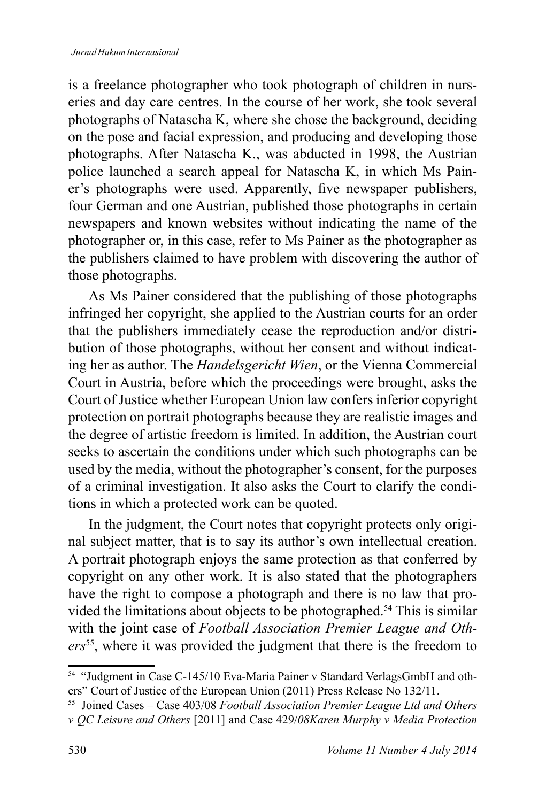is a freelance photographer who took photograph of children in nurseries and day care centres. In the course of her work, she took several photographs of Natascha K, where she chose the background, deciding on the pose and facial expression, and producing and developing those photographs. After Natascha K., was abducted in 1998, the Austrian police launched a search appeal for Natascha K, in which Ms Painer's photographs were used. Apparently, five newspaper publishers, four German and one Austrian, published those photographs in certain newspapers and known websites without indicating the name of the photographer or, in this case, refer to Ms Painer as the photographer as the publishers claimed to have problem with discovering the author of those photographs.

As Ms Painer considered that the publishing of those photographs infringed her copyright, she applied to the Austrian courts for an order that the publishers immediately cease the reproduction and/or distribution of those photographs, without her consent and without indicating her as author. The *Handelsgericht Wien*, or the Vienna Commercial Court in Austria, before which the proceedings were brought, asks the Court of Justice whether European Union law confers inferior copyright protection on portrait photographs because they are realistic images and the degree of artistic freedom is limited. In addition, the Austrian court seeks to ascertain the conditions under which such photographs can be used by the media, without the photographer's consent, for the purposes of a criminal investigation. It also asks the Court to clarify the conditions in which a protected work can be quoted.

In the judgment, the Court notes that copyright protects only original subject matter, that is to say its author's own intellectual creation. A portrait photograph enjoys the same protection as that conferred by copyright on any other work. It is also stated that the photographers have the right to compose a photograph and there is no law that provided the limitations about objects to be photographed.<sup>54</sup> This is similar with the joint case of Football Association Premier League and Others<sup>55</sup>, where it was provided the judgment that there is the freedom to

<sup>&</sup>lt;sup>54</sup> "Judgment in Case C-145/10 Eva-Maria Painer v Standard VerlagsGmbH and others" Court of Justice of the European Union (2011) Press Release No 132/11.

<sup>&</sup>lt;sup>55</sup> Joined Cases - Case 403/08 Football Association Premier League Ltd and Others v QC Leisure and Others [2011] and Case 429/08Karen Murphy v Media Protection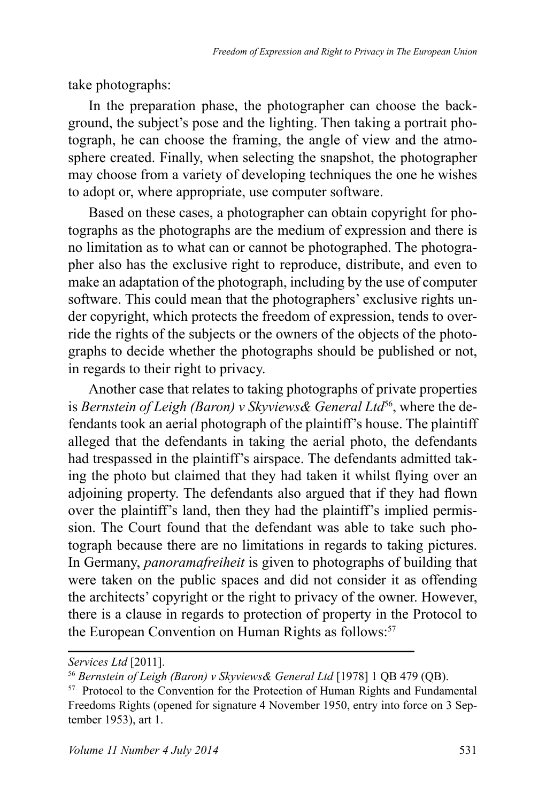take photographs:

In the preparation phase, the photographer can choose the background, the subject's pose and the lighting. Then taking a portrait photograph, he can choose the framing, the angle of view and the atmosphere created. Finally, when selecting the snapshot, the photographer may choose from a variety of developing techniques the one he wishes to adopt or, where appropriate, use computer software.

Based on these cases, a photographer can obtain copyright for photographs as the photographs are the medium of expression and there is no limitation as to what can or cannot be photographed. The photographer also has the exclusive right to reproduce, distribute, and even to make an adaptation of the photograph, including by the use of computer software. This could mean that the photographers' exclusive rights under copyright, which protects the freedom of expression, tends to override the rights of the subjects or the owners of the objects of the photographs to decide whether the photographs should be published or not, in regards to their right to privacy.

Another case that relates to taking photographs of private properties is Bernstein of Leigh (Baron) v Skyviews & General Ltd<sup>56</sup>, where the defendants took an aerial photograph of the plaintiff's house. The plaintiff alleged that the defendants in taking the aerial photo, the defendants had trespassed in the plaintiff's airspace. The defendants admitted taking the photo but claimed that they had taken it whilst flying over an adjoining property. The defendants also argued that if they had flown over the plaintiff's land, then they had the plaintiff's implied permission. The Court found that the defendant was able to take such photograph because there are no limitations in regards to taking pictures. In Germany, *panoramafreiheit* is given to photographs of building that were taken on the public spaces and did not consider it as offending the architects' copyright or the right to privacy of the owner. However, there is a clause in regards to protection of property in the Protocol to the European Convention on Human Rights as follows:<sup>57</sup>

Services Ltd [2011].

<sup>&</sup>lt;sup>56</sup> Bernstein of Leigh (Baron) v Skyviews& General Ltd [1978] 1 QB 479 (QB).

<sup>&</sup>lt;sup>57</sup> Protocol to the Convention for the Protection of Human Rights and Fundamental Freedoms Rights (opened for signature 4 November 1950, entry into force on 3 September 1953), art 1.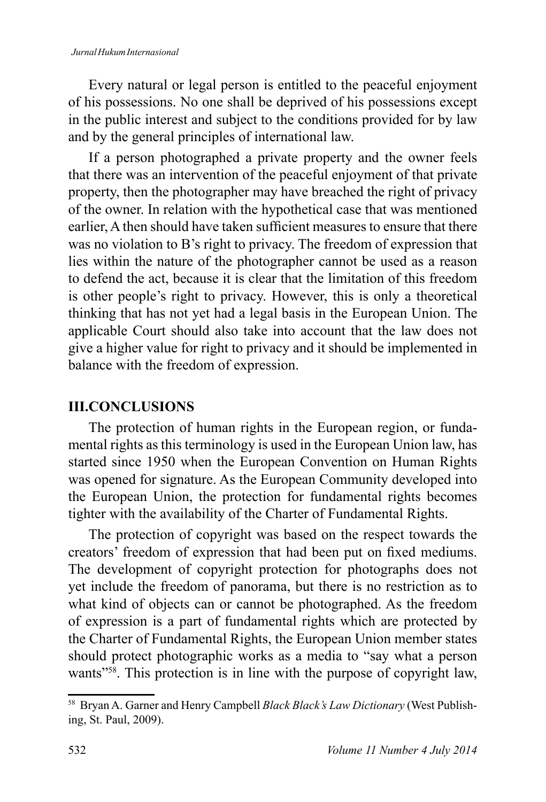Every natural or legal person is entitled to the peaceful enjoyment of his possessions. No one shall be deprived of his possessions except in the public interest and subject to the conditions provided for by law and by the general principles of international law.

If a person photographed a private property and the owner feels that there was an intervention of the peaceful enjoyment of that private property, then the photographer may have breached the right of privacy of the owner. In relation with the hypothetical case that was mentioned earlier, A then should have taken sufficient measures to ensure that there was no violation to B's right to privacy. The freedom of expression that lies within the nature of the photographer cannot be used as a reason to defend the act, because it is clear that the limitation of this freedom is other people's right to privacy. However, this is only a theoretical thinking that has not yet had a legal basis in the European Union. The applicable Court should also take into account that the law does not give a higher value for right to privacy and it should be implemented in balance with the freedom of expression.

## **III.CONCLUSIONS**

The protection of human rights in the European region, or fundamental rights as this terminology is used in the European Union law, has started since 1950 when the European Convention on Human Rights was opened for signature. As the European Community developed into the European Union, the protection for fundamental rights becomes tighter with the availability of the Charter of Fundamental Rights.

The protection of copyright was based on the respect towards the creators' freedom of expression that had been put on fixed mediums. The development of copyright protection for photographs does not yet include the freedom of panorama, but there is no restriction as to what kind of objects can or cannot be photographed. As the freedom of expression is a part of fundamental rights which are protected by the Charter of Fundamental Rights, the European Union member states should protect photographic works as a media to "say what a person wants"<sup>58</sup>. This protection is in line with the purpose of copyright law,

<sup>&</sup>lt;sup>58</sup> Bryan A. Garner and Henry Campbell Black Black's Law Dictionary (West Publishing, St. Paul, 2009).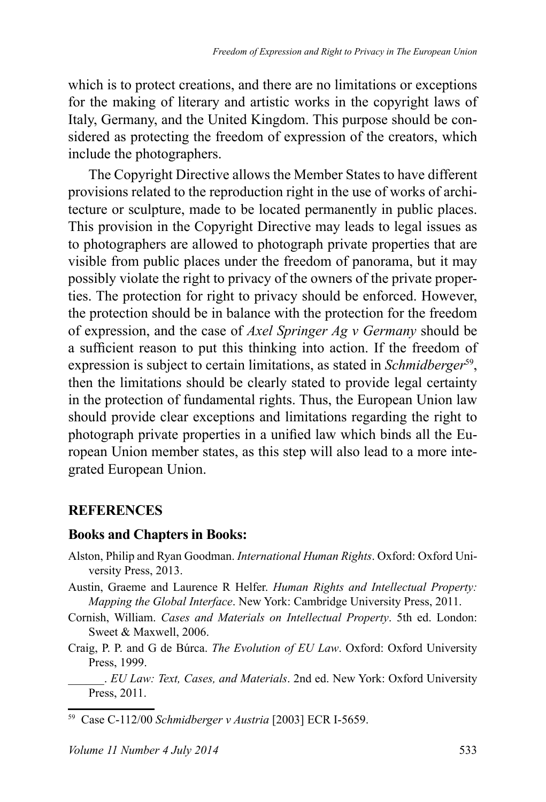which is to protect creations, and there are no limitations or exceptions for the making of literary and artistic works in the copyright laws of Italy, Germany, and the United Kingdom. This purpose should be considered as protecting the freedom of expression of the creators, which include the photographers.

The Copyright Directive allows the Member States to have different provisions related to the reproduction right in the use of works of architecture or sculpture, made to be located permanently in public places. This provision in the Copyright Directive may leads to legal issues as to photographers are allowed to photograph private properties that are visible from public places under the freedom of panorama, but it may possibly violate the right to privacy of the owners of the private properties. The protection for right to privacy should be enforced. However, the protection should be in balance with the protection for the freedom of expression, and the case of *Axel Springer Ag v Germany* should be a sufficient reason to put this thinking into action. If the freedom of expression is subject to certain limitations, as stated in Schmidberger<sup>59</sup>, then the limitations should be clearly stated to provide legal certainty in the protection of fundamental rights. Thus, the European Union law should provide clear exceptions and limitations regarding the right to photograph private properties in a unified law which binds all the European Union member states, as this step will also lead to a more integrated European Union.

#### **REFERENCES**

#### **Books and Chapters in Books:**

- Alston, Philip and Ryan Goodman. *International Human Rights*. Oxford: Oxford University Press, 2013.
- Austin, Graeme and Laurence R Helfer. *Human Rights and Intellectual Property: Mapping the Global Interface.* New York: Cambridge University Press, 2011.
- Cornish, William. Cases and Materials on Intellectual Property. 5th ed. London: Sweet & Maxwell, 2006.
- Craig, P. P. and G de Búrca. The Evolution of EU Law. Oxford: Oxford University Press, 1999.

. *EU Law: Text, Cases, and Materials*. 2nd ed. New York: Oxford University Press, 2011.

<sup>&</sup>lt;sup>59</sup> Case C-112/00 Schmidberger v Austria [2003] ECR I-5659.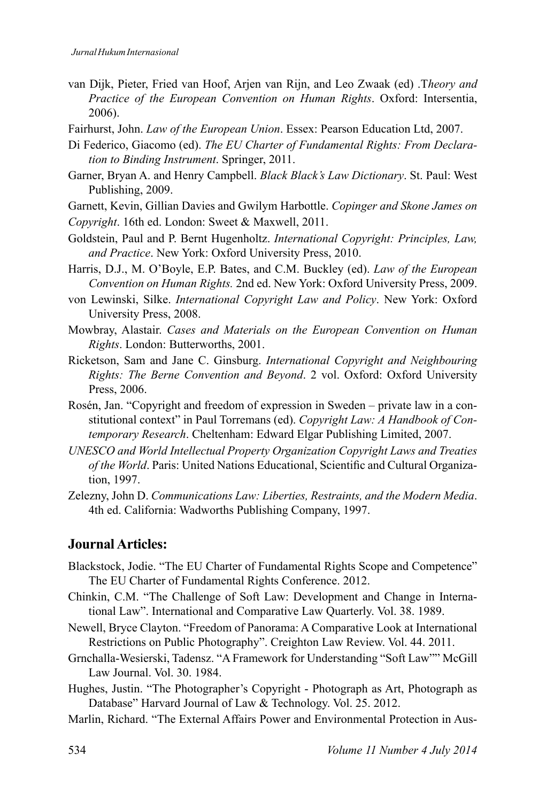- van Dijk. Pieter. Fried van Hoof. Arien van Rijn. and Leo Zwaak (ed) Theory and Practice of the European Convention on Human Rights. Oxford: Intersentia.  $2006$
- Fairhurst, John. Law of the European Union. Essex: Pearson Education Ltd, 2007.
- Di Federico, Giacomo (ed). The EU Charter of Fundamental Rights: From Declaration to Binding Instrument. Springer, 2011.
- Garner, Bryan A. and Henry Campbell. Black Black's Law Dictionary. St. Paul: West Publishing, 2009.
- Garnett, Kevin, Gillian Davies and Gwilym Harbottle. Copinger and Skone James on
- Copyright. 16th ed. London: Sweet & Maxwell, 2011.
- Goldstein, Paul and P. Bernt Hugenholtz. International Copyright: Principles, Law, and Practice. New York: Oxford University Press, 2010.
- Harris, D.J., M. O'Boyle, E.P. Bates, and C.M. Buckley (ed). Law of the European Convention on Human Rights. 2nd ed. New York: Oxford University Press, 2009.
- von Lewinski, Silke. *International Copyright Law and Policy*. New York: Oxford University Press, 2008.
- Mowbray, Alastair. Cases and Materials on the European Convention on Human Rights. London: Butterworths, 2001.
- Ricketson, Sam and Jane C. Ginsburg. International Copyright and Neighbouring Rights: The Berne Convention and Beyond. 2 vol. Oxford: Oxford University Press, 2006.
- Rosén, Jan. "Copyright and freedom of expression in Sweden private law in a constitutional context" in Paul Torremans (ed). Copyright Law: A Handbook of Contemporary Research. Cheltenham: Edward Elgar Publishing Limited, 2007.
- UNESCO and World Intellectual Property Organization Copyright Laws and Treaties of the World. Paris: United Nations Educational, Scientific and Cultural Organization, 1997.
- Zelezny, John D. Communications Law: Liberties, Restraints, and the Modern Media. 4th ed. California: Wadworths Publishing Company, 1997.

#### Journal Articles:

- Blackstock, Jodie. "The EU Charter of Fundamental Rights Scope and Competence" The EU Charter of Fundamental Rights Conference. 2012.
- Chinkin, C.M. "The Challenge of Soft Law: Development and Change in International Law". International and Comparative Law Quarterly. Vol. 38. 1989.
- Newell, Bryce Clayton. "Freedom of Panorama: A Comparative Look at International Restrictions on Public Photography". Creighton Law Review. Vol. 44. 2011.
- Grnchalla-Wesierski, Tadensz. "A Framework for Understanding "Soft Law"" McGill Law Journal. Vol. 30. 1984.
- Hughes, Justin. "The Photographer's Copyright Photograph as Art, Photograph as Database" Harvard Journal of Law & Technology. Vol. 25. 2012.
- Marlin, Richard. "The External Affairs Power and Environmental Protection in Aus-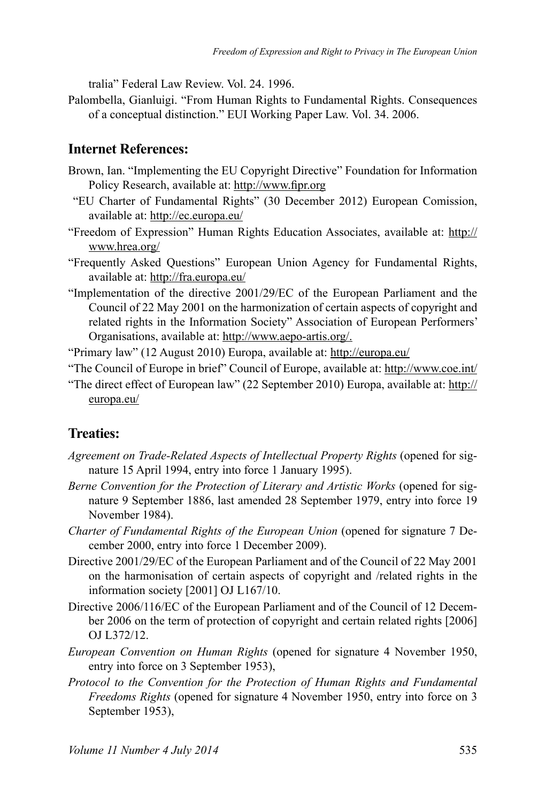tralia" Federal Law Review Vol 24 1996

Palombella, Gianluigi. "From Human Rights to Fundamental Rights. Consequences of a conceptual distinction." EUI Working Paper Law. Vol. 34, 2006.

#### **Internet References:**

- Brown, Ian. "Implementing the EU Copyright Directive" Foundation for Information Policy Research, available at: http://www.fipr.org
- "EU Charter of Fundamental Rights" (30 December 2012) European Comission, available at: http://ec.europa.eu/
- "Freedom of Expression" Human Rights Education Associates, available at: http:// www.hrea.org/
- "Frequently Asked Questions" European Union Agency for Fundamental Rights, available at: http://fra.europa.eu/
- "Implementation of the directive 2001/29/EC of the European Parliament and the Council of 22 May 2001 on the harmonization of certain aspects of copyright and related rights in the Information Society" Association of European Performers' Organisations, available at: http://www.aepo-artis.org/.
- "Primary law" (12 August 2010) Europa, available at: http://europa.eu/
- "The Council of Europe in brief" Council of Europe, available at: http://www.coe.int/
- "The direct effect of European law" (22 September 2010) Europa, available at: http:// europa.eu/

#### **Treaties:**

- Agreement on Trade-Related Aspects of Intellectual Property Rights (opened for signature 15 April 1994, entry into force 1 January 1995).
- Berne Convention for the Protection of Literary and Artistic Works (opened for signature 9 September 1886, last amended 28 September 1979, entry into force 19 November 1984).
- Charter of Fundamental Rights of the European Union (opened for signature 7 December 2000, entry into force 1 December 2009).
- Directive 2001/29/EC of the European Parliament and of the Council of 22 May 2001 on the harmonisation of certain aspects of copyright and /related rights in the information society [2001] OJ L167/10.
- Directive 2006/116/EC of the European Parliament and of the Council of 12 December 2006 on the term of protection of copyright and certain related rights [2006] OJ L372/12.
- *European Convention on Human Rights* (opened for signature 4 November 1950, entry into force on 3 September 1953),
- Protocol to the Convention for the Protection of Human Rights and Fundamental *Freedoms Rights* (opened for signature 4 November 1950, entry into force on 3 September 1953),